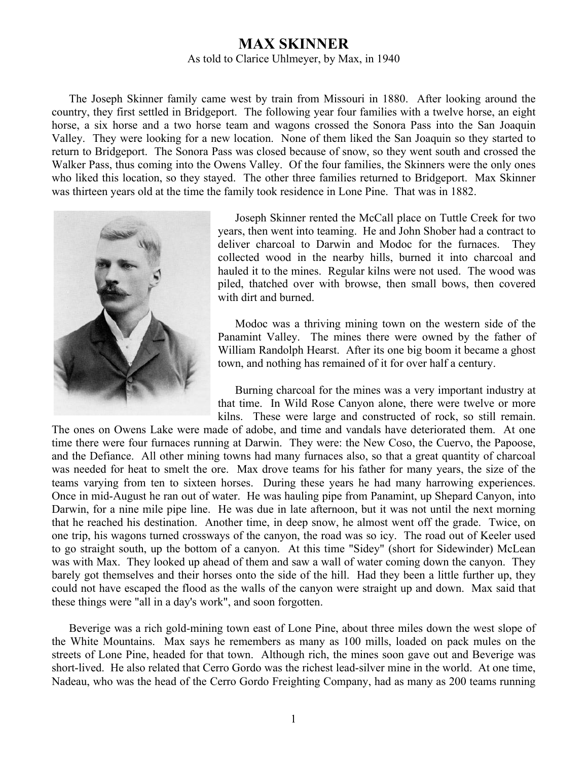## **MAX SKINNER**

As told to Clarice Uhlmeyer, by Max, in 1940

The Joseph Skinner family came west by train from Missouri in 1880. After looking around the country, they first settled in Bridgeport. The following year four families with a twelve horse, an eight horse, a six horse and a two horse team and wagons crossed the Sonora Pass into the San Joaquin Valley. They were looking for a new location. None of them liked the San Joaquin so they started to return to Bridgeport. The Sonora Pass was closed because of snow, so they went south and crossed the Walker Pass, thus coming into the Owens Valley. Of the four families, the Skinners were the only ones who liked this location, so they stayed. The other three families returned to Bridgeport. Max Skinner was thirteen years old at the time the family took residence in Lone Pine. That was in 1882.



Joseph Skinner rented the McCall place on Tuttle Creek for two years, then went into teaming. He and John Shober had a contract to deliver charcoal to Darwin and Modoc for the furnaces. They collected wood in the nearby hills, burned it into charcoal and hauled it to the mines. Regular kilns were not used. The wood was piled, thatched over with browse, then small bows, then covered with dirt and burned.

Modoc was a thriving mining town on the western side of the Panamint Valley. The mines there were owned by the father of William Randolph Hearst. After its one big boom it became a ghost town, and nothing has remained of it for over half a century.

Burning charcoal for the mines was a very important industry at that time. In Wild Rose Canyon alone, there were twelve or more kilns. These were large and constructed of rock, so still remain.

The ones on Owens Lake were made of adobe, and time and vandals have deteriorated them. At one time there were four furnaces running at Darwin. They were: the New Coso, the Cuervo, the Papoose, and the Defiance. All other mining towns had many furnaces also, so that a great quantity of charcoal was needed for heat to smelt the ore. Max drove teams for his father for many years, the size of the teams varying from ten to sixteen horses. During these years he had many harrowing experiences. Once in mid-August he ran out of water. He was hauling pipe from Panamint, up Shepard Canyon, into Darwin, for a nine mile pipe line. He was due in late afternoon, but it was not until the next morning that he reached his destination. Another time, in deep snow, he almost went off the grade. Twice, on one trip, his wagons turned crossways of the canyon, the road was so icy. The road out of Keeler used to go straight south, up the bottom of a canyon. At this time "Sidey" (short for Sidewinder) McLean was with Max. They looked up ahead of them and saw a wall of water coming down the canyon. They barely got themselves and their horses onto the side of the hill. Had they been a little further up, they could not have escaped the flood as the walls of the canyon were straight up and down. Max said that these things were "all in a day's work", and soon forgotten.

Beverige was a rich gold-mining town east of Lone Pine, about three miles down the west slope of the White Mountains. Max says he remembers as many as 100 mills, loaded on pack mules on the streets of Lone Pine, headed for that town. Although rich, the mines soon gave out and Beverige was short-lived. He also related that Cerro Gordo was the richest lead-silver mine in the world. At one time, Nadeau, who was the head of the Cerro Gordo Freighting Company, had as many as 200 teams running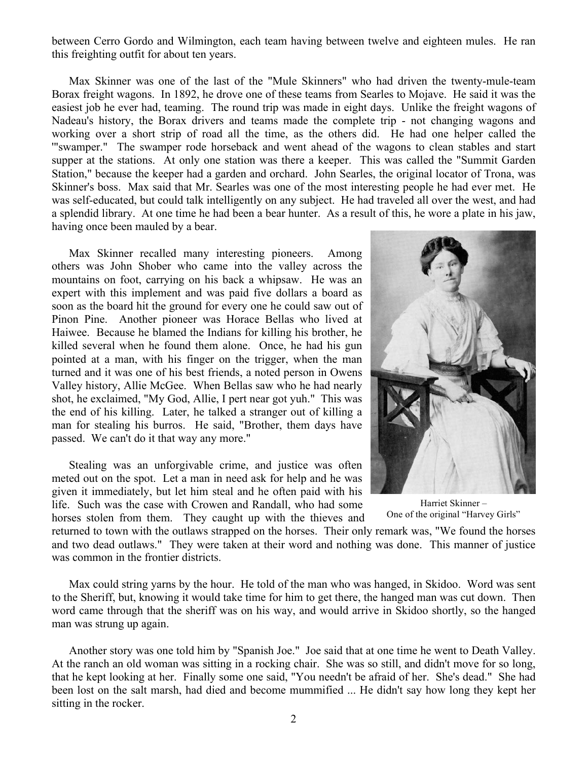between Cerro Gordo and Wilmington, each team having between twelve and eighteen mules. He ran this freighting outfit for about ten years.

Max Skinner was one of the last of the "Mule Skinners" who had driven the twenty-mule-team Borax freight wagons. In 1892, he drove one of these teams from Searles to Mojave. He said it was the easiest job he ever had, teaming. The round trip was made in eight days. Unlike the freight wagons of Nadeau's history, the Borax drivers and teams made the complete trip - not changing wagons and working over a short strip of road all the time, as the others did. He had one helper called the '"swamper." The swamper rode horseback and went ahead of the wagons to clean stables and start supper at the stations. At only one station was there a keeper. This was called the "Summit Garden Station," because the keeper had a garden and orchard. John Searles, the original locator of Trona, was Skinner's boss. Max said that Mr. Searles was one of the most interesting people he had ever met. He was self-educated, but could talk intelligently on any subject. He had traveled all over the west, and had a splendid library. At one time he had been a bear hunter. As a result of this, he wore a plate in his jaw, having once been mauled by a bear.

Max Skinner recalled many interesting pioneers. Among others was John Shober who came into the valley across the mountains on foot, carrying on his back a whipsaw. He was an expert with this implement and was paid five dollars a board as soon as the board hit the ground for every one he could saw out of Pinon Pine. Another pioneer was Horace Bellas who lived at Haiwee. Because he blamed the Indians for killing his brother, he killed several when he found them alone. Once, he had his gun pointed at a man, with his finger on the trigger, when the man turned and it was one of his best friends, a noted person in Owens Valley history, Allie McGee. When Bellas saw who he had nearly shot, he exclaimed, "My God, Allie, I pert near got yuh." This was the end of his killing. Later, he talked a stranger out of killing a man for stealing his burros. He said, "Brother, them days have passed. We can't do it that way any more."

Stealing was an unforgivable crime, and justice was often meted out on the spot. Let a man in need ask for help and he was given it immediately, but let him steal and he often paid with his life. Such was the case with Crowen and Randall, who had some horses stolen from them. They caught up with the thieves and



Harriet Skinner – One of the original "Harvey Girls"

returned to town with the outlaws strapped on the horses. Their only remark was, "We found the horses and two dead outlaws." They were taken at their word and nothing was done. This manner of justice was common in the frontier districts.

Max could string yarns by the hour. He told of the man who was hanged, in Skidoo. Word was sent to the Sheriff, but, knowing it would take time for him to get there, the hanged man was cut down. Then word came through that the sheriff was on his way, and would arrive in Skidoo shortly, so the hanged man was strung up again.

Another story was one told him by "Spanish Joe." Joe said that at one time he went to Death Valley. At the ranch an old woman was sitting in a rocking chair. She was so still, and didn't move for so long, that he kept looking at her. Finally some one said, "You needn't be afraid of her. She's dead." She had been lost on the salt marsh, had died and become mummified ... He didn't say how long they kept her sitting in the rocker.